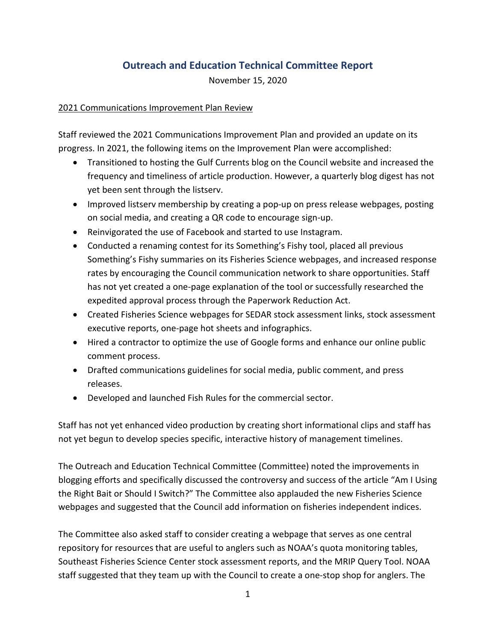# **Outreach and Education Technical Committee Report**

November 15, 2020

## 2021 Communications Improvement Plan Review

Staff reviewed the 2021 Communications Improvement Plan and provided an update on its progress. In 2021, the following items on the Improvement Plan were accomplished:

- Transitioned to hosting the Gulf Currents blog on the Council website and increased the frequency and timeliness of article production. However, a quarterly blog digest has not yet been sent through the listserv.
- Improved listserv membership by creating a pop-up on press release webpages, posting on social media, and creating a QR code to encourage sign-up.
- Reinvigorated the use of Facebook and started to use Instagram.
- Conducted a renaming contest for its Something's Fishy tool, placed all previous Something's Fishy summaries on its Fisheries Science webpages, and increased response rates by encouraging the Council communication network to share opportunities. Staff has not yet created a one-page explanation of the tool or successfully researched the expedited approval process through the Paperwork Reduction Act.
- Created Fisheries Science webpages for SEDAR stock assessment links, stock assessment executive reports, one-page hot sheets and infographics.
- Hired a contractor to optimize the use of Google forms and enhance our online public comment process.
- Drafted communications guidelines for social media, public comment, and press releases.
- Developed and launched Fish Rules for the commercial sector.

Staff has not yet enhanced video production by creating short informational clips and staff has not yet begun to develop species specific, interactive history of management timelines.

The Outreach and Education Technical Committee (Committee) noted the improvements in blogging efforts and specifically discussed the controversy and success of the article "Am I Using the Right Bait or Should I Switch?" The Committee also applauded the new Fisheries Science webpages and suggested that the Council add information on fisheries independent indices.

The Committee also asked staff to consider creating a webpage that serves as one central repository for resources that are useful to anglers such as NOAA's quota monitoring tables, Southeast Fisheries Science Center stock assessment reports, and the MRIP Query Tool. NOAA staff suggested that they team up with the Council to create a one-stop shop for anglers. The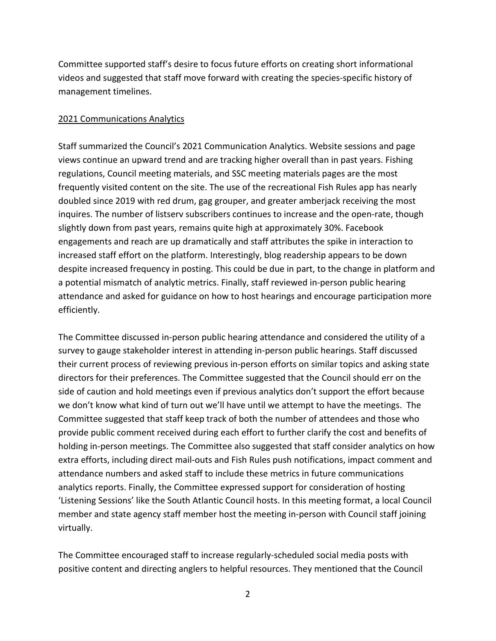Committee supported staff's desire to focus future efforts on creating short informational videos and suggested that staff move forward with creating the species-specific history of management timelines.

#### 2021 Communications Analytics

Staff summarized the Council's 2021 Communication Analytics. Website sessions and page views continue an upward trend and are tracking higher overall than in past years. Fishing regulations, Council meeting materials, and SSC meeting materials pages are the most frequently visited content on the site. The use of the recreational Fish Rules app has nearly doubled since 2019 with red drum, gag grouper, and greater amberjack receiving the most inquires. The number of listserv subscribers continues to increase and the open-rate, though slightly down from past years, remains quite high at approximately 30%. Facebook engagements and reach are up dramatically and staff attributes the spike in interaction to increased staff effort on the platform. Interestingly, blog readership appears to be down despite increased frequency in posting. This could be due in part, to the change in platform and a potential mismatch of analytic metrics. Finally, staff reviewed in-person public hearing attendance and asked for guidance on how to host hearings and encourage participation more efficiently.

The Committee discussed in-person public hearing attendance and considered the utility of a survey to gauge stakeholder interest in attending in-person public hearings. Staff discussed their current process of reviewing previous in-person efforts on similar topics and asking state directors for their preferences. The Committee suggested that the Council should err on the side of caution and hold meetings even if previous analytics don't support the effort because we don't know what kind of turn out we'll have until we attempt to have the meetings. The Committee suggested that staff keep track of both the number of attendees and those who provide public comment received during each effort to further clarify the cost and benefits of holding in-person meetings. The Committee also suggested that staff consider analytics on how extra efforts, including direct mail-outs and Fish Rules push notifications, impact comment and attendance numbers and asked staff to include these metrics in future communications analytics reports. Finally, the Committee expressed support for consideration of hosting 'Listening Sessions' like the South Atlantic Council hosts. In this meeting format, a local Council member and state agency staff member host the meeting in-person with Council staff joining virtually.

The Committee encouraged staff to increase regularly-scheduled social media posts with positive content and directing anglers to helpful resources. They mentioned that the Council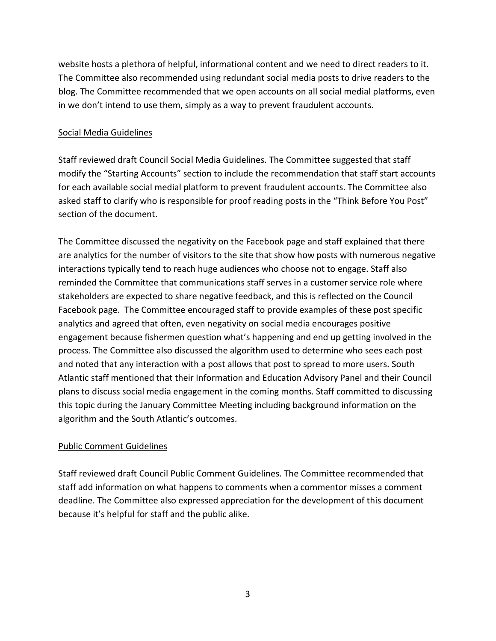website hosts a plethora of helpful, informational content and we need to direct readers to it. The Committee also recommended using redundant social media posts to drive readers to the blog. The Committee recommended that we open accounts on all social medial platforms, even in we don't intend to use them, simply as a way to prevent fraudulent accounts.

## Social Media Guidelines

Staff reviewed draft Council Social Media Guidelines. The Committee suggested that staff modify the "Starting Accounts" section to include the recommendation that staff start accounts for each available social medial platform to prevent fraudulent accounts. The Committee also asked staff to clarify who is responsible for proof reading posts in the "Think Before You Post" section of the document.

The Committee discussed the negativity on the Facebook page and staff explained that there are analytics for the number of visitors to the site that show how posts with numerous negative interactions typically tend to reach huge audiences who choose not to engage. Staff also reminded the Committee that communications staff serves in a customer service role where stakeholders are expected to share negative feedback, and this is reflected on the Council Facebook page. The Committee encouraged staff to provide examples of these post specific analytics and agreed that often, even negativity on social media encourages positive engagement because fishermen question what's happening and end up getting involved in the process. The Committee also discussed the algorithm used to determine who sees each post and noted that any interaction with a post allows that post to spread to more users. South Atlantic staff mentioned that their Information and Education Advisory Panel and their Council plans to discuss social media engagement in the coming months. Staff committed to discussing this topic during the January Committee Meeting including background information on the algorithm and the South Atlantic's outcomes.

#### Public Comment Guidelines

Staff reviewed draft Council Public Comment Guidelines. The Committee recommended that staff add information on what happens to comments when a commentor misses a comment deadline. The Committee also expressed appreciation for the development of this document because it's helpful for staff and the public alike.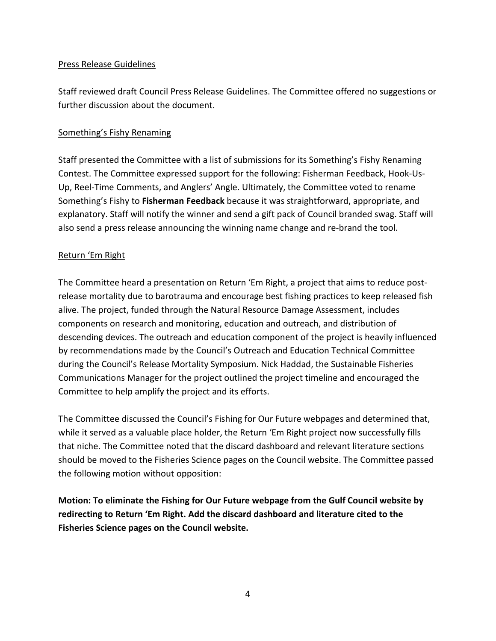## Press Release Guidelines

Staff reviewed draft Council Press Release Guidelines. The Committee offered no suggestions or further discussion about the document.

## Something's Fishy Renaming

Staff presented the Committee with a list of submissions for its Something's Fishy Renaming Contest. The Committee expressed support for the following: Fisherman Feedback, Hook-Us-Up, Reel-Time Comments, and Anglers' Angle. Ultimately, the Committee voted to rename Something's Fishy to **Fisherman Feedback** because it was straightforward, appropriate, and explanatory. Staff will notify the winner and send a gift pack of Council branded swag. Staff will also send a press release announcing the winning name change and re-brand the tool.

#### Return 'Em Right

The Committee heard a presentation on Return 'Em Right, a project that aims to reduce postrelease mortality due to barotrauma and encourage best fishing practices to keep released fish alive. The project, funded through the Natural Resource Damage Assessment, includes components on research and monitoring, education and outreach, and distribution of descending devices. The outreach and education component of the project is heavily influenced by recommendations made by the Council's Outreach and Education Technical Committee during the Council's Release Mortality Symposium. Nick Haddad, the Sustainable Fisheries Communications Manager for the project outlined the project timeline and encouraged the Committee to help amplify the project and its efforts.

The Committee discussed the Council's Fishing for Our Future webpages and determined that, while it served as a valuable place holder, the Return 'Em Right project now successfully fills that niche. The Committee noted that the discard dashboard and relevant literature sections should be moved to the Fisheries Science pages on the Council website. The Committee passed the following motion without opposition:

**Motion: To eliminate the Fishing for Our Future webpage from the Gulf Council website by redirecting to Return 'Em Right. Add the discard dashboard and literature cited to the Fisheries Science pages on the Council website.**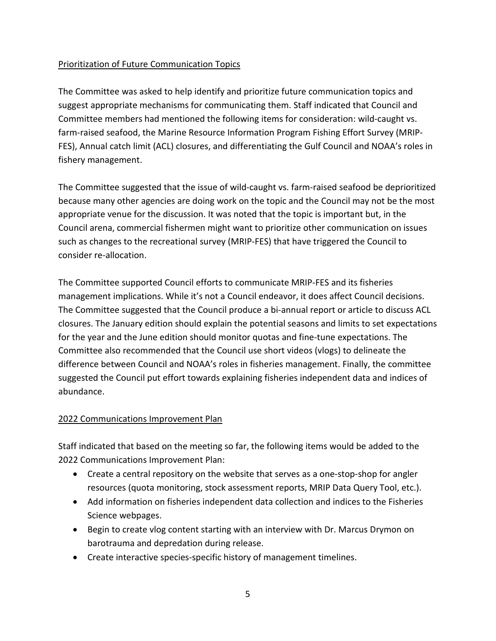## Prioritization of Future Communication Topics

The Committee was asked to help identify and prioritize future communication topics and suggest appropriate mechanisms for communicating them. Staff indicated that Council and Committee members had mentioned the following items for consideration: wild-caught vs. farm-raised seafood, the Marine Resource Information Program Fishing Effort Survey (MRIP-FES), Annual catch limit (ACL) closures, and differentiating the Gulf Council and NOAA's roles in fishery management.

The Committee suggested that the issue of wild-caught vs. farm-raised seafood be deprioritized because many other agencies are doing work on the topic and the Council may not be the most appropriate venue for the discussion. It was noted that the topic is important but, in the Council arena, commercial fishermen might want to prioritize other communication on issues such as changes to the recreational survey (MRIP-FES) that have triggered the Council to consider re-allocation.

The Committee supported Council efforts to communicate MRIP-FES and its fisheries management implications. While it's not a Council endeavor, it does affect Council decisions. The Committee suggested that the Council produce a bi-annual report or article to discuss ACL closures. The January edition should explain the potential seasons and limits to set expectations for the year and the June edition should monitor quotas and fine-tune expectations. The Committee also recommended that the Council use short videos (vlogs) to delineate the difference between Council and NOAA's roles in fisheries management. Finally, the committee suggested the Council put effort towards explaining fisheries independent data and indices of abundance.

## 2022 Communications Improvement Plan

Staff indicated that based on the meeting so far, the following items would be added to the 2022 Communications Improvement Plan:

- Create a central repository on the website that serves as a one-stop-shop for angler resources (quota monitoring, stock assessment reports, MRIP Data Query Tool, etc.).
- Add information on fisheries independent data collection and indices to the Fisheries Science webpages.
- Begin to create vlog content starting with an interview with Dr. Marcus Drymon on barotrauma and depredation during release.
- Create interactive species-specific history of management timelines.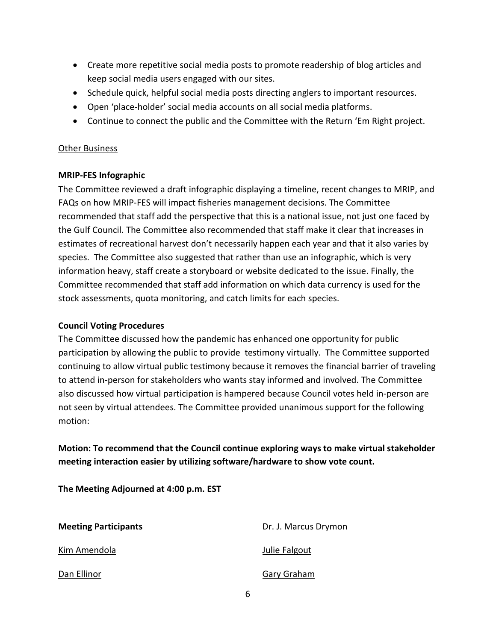- Create more repetitive social media posts to promote readership of blog articles and keep social media users engaged with our sites.
- Schedule quick, helpful social media posts directing anglers to important resources.
- Open 'place-holder' social media accounts on all social media platforms.
- Continue to connect the public and the Committee with the Return 'Em Right project.

#### Other Business

#### **MRIP-FES Infographic**

The Committee reviewed a draft infographic displaying a timeline, recent changes to MRIP, and FAQs on how MRIP-FES will impact fisheries management decisions. The Committee recommended that staff add the perspective that this is a national issue, not just one faced by the Gulf Council. The Committee also recommended that staff make it clear that increases in estimates of recreational harvest don't necessarily happen each year and that it also varies by species. The Committee also suggested that rather than use an infographic, which is very information heavy, staff create a storyboard or website dedicated to the issue. Finally, the Committee recommended that staff add information on which data currency is used for the stock assessments, quota monitoring, and catch limits for each species.

#### **Council Voting Procedures**

The Committee discussed how the pandemic has enhanced one opportunity for public participation by allowing the public to provide testimony virtually. The Committee supported continuing to allow virtual public testimony because it removes the financial barrier of traveling to attend in-person for stakeholders who wants stay informed and involved. The Committee also discussed how virtual participation is hampered because Council votes held in-person are not seen by virtual attendees. The Committee provided unanimous support for the following motion:

**Motion: To recommend that the Council continue exploring ways to make virtual stakeholder meeting interaction easier by utilizing software/hardware to show vote count.**

**The Meeting Adjourned at 4:00 p.m. EST**

| <b>Meeting Participants</b> | Dr. J. Marcus Drymon |
|-----------------------------|----------------------|
| Kim Amendola                | Julie Falgout        |
| Dan Ellinor                 | Gary Graham          |